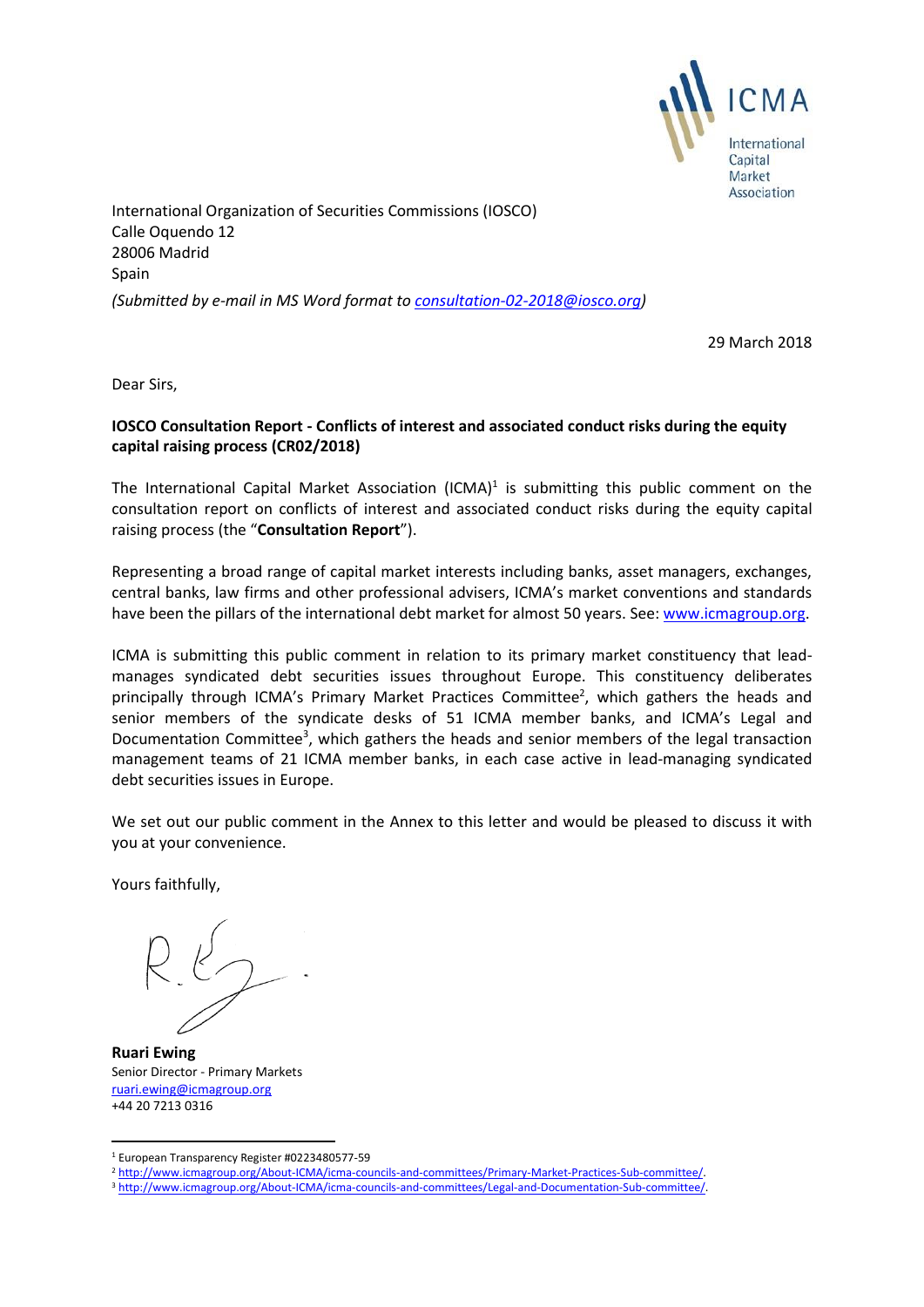

International Organization of Securities Commissions (IOSCO) Calle Oquendo 12 28006 Madrid Spain *(Submitted by e-mail in MS Word format to [consultation-02-2018@iosco.org\)](mailto:consultation-02-2018@iosco.org)*

29 March 2018

Dear Sirs,

## **IOSCO Consultation Report - Conflicts of interest and associated conduct risks during the equity capital raising process (CR02/2018)**

The International Capital Market Association (ICMA)<sup>1</sup> is submitting this public comment on the consultation report on conflicts of interest and associated conduct risks during the equity capital raising process (the "**Consultation Report**").

Representing a broad range of capital market interests including banks, asset managers, exchanges, central banks, law firms and other professional advisers, ICMA's market conventions and standards have been the pillars of the international debt market for almost 50 years. See[: www.icmagroup.org.](http://www.icmagroup.org/)

ICMA is submitting this public comment in relation to its primary market constituency that leadmanages syndicated debt securities issues throughout Europe. This constituency deliberates principally through ICMA's Primary Market Practices Committee<sup>2</sup>, which gathers the heads and senior members of the syndicate desks of 51 ICMA member banks, and ICMA's Legal and Documentation Committee<sup>3</sup>, which gathers the heads and senior members of the legal transaction management teams of 21 ICMA member banks, in each case active in lead-managing syndicated debt securities issues in Europe.

We set out our public comment in the Annex to this letter and would be pleased to discuss it with you at your convenience.

Yours faithfully,

**Ruari Ewing** Senior Director - Primary Markets [ruari.ewing@icmagroup.org](mailto:ruari.ewing@icmagroup.org) +44 20 7213 0316

**<sup>.</sup>** <sup>1</sup> European Transparency Register #0223480577-59

<sup>2</sup> [http://www.icmagroup.org/About-ICMA/icma-councils-and-committees/Primary-Market-Practices-Sub-committee/.](http://www.icmagroup.org/About-ICMA/icma-councils-and-committees/Primary-Market-Practices-Sub-committee/)

<sup>3</sup> [http://www.icmagroup.org/About-ICMA/icma-councils-and-committees/Legal-and-Documentation-Sub-committee/.](http://www.icmagroup.org/About-ICMA/icma-councils-and-committees/Legal-and-Documentation-Sub-committee/)